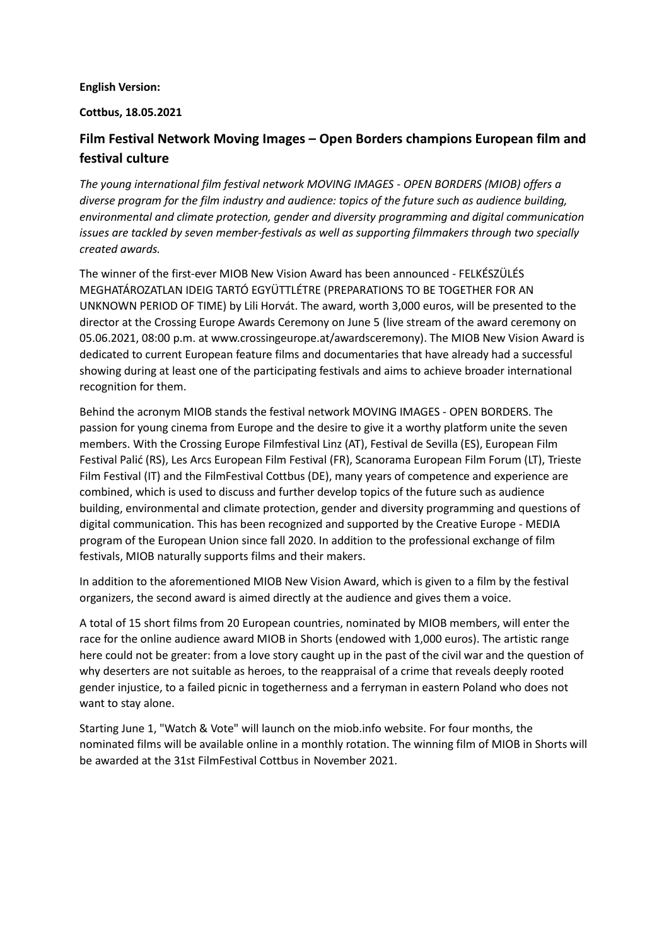### **English Version:**

### **Cottbus, 18.05.2021**

# **Film Festival Network Moving Images – Open Borders champions European film and festival culture**

*The young international film festival network MOVING IMAGES - OPEN BORDERS (MIOB) offers a diverse program for the film industry and audience: topics of the future such as audience building, environmental and climate protection, gender and diversity programming and digital communication issues are tackled by seven member-festivals as well as supporting filmmakers through two specially created awards.*

The winner of the first-ever MIOB New Vision Award has been announced - FELKÉSZÜLÉS MEGHATÁROZATLAN IDEIG TARTÓ EGYÜTTLÉTRE (PREPARATIONS TO BE TOGETHER FOR AN UNKNOWN PERIOD OF TIME) by Lili Horvát. The award, worth 3,000 euros, will be presented to the director at the Crossing Europe Awards Ceremony on June 5 (live stream of the award ceremony on 05.06.2021, 08:00 p.m. at www.crossingeurope.at/awardsceremony). The MIOB New Vision Award is dedicated to current European feature films and documentaries that have already had a successful showing during at least one of the participating festivals and aims to achieve broader international recognition for them.

Behind the acronym MIOB stands the festival network MOVING IMAGES - OPEN BORDERS. The passion for young cinema from Europe and the desire to give it a worthy platform unite the seven members. With the Crossing Europe Filmfestival Linz (AT), Festival de Sevilla (ES), European Film Festival Palić (RS), Les Arcs European Film Festival (FR), Scanorama European Film Forum (LT), Trieste Film Festival (IT) and the FilmFestival Cottbus (DE), many years of competence and experience are combined, which is used to discuss and further develop topics of the future such as audience building, environmental and climate protection, gender and diversity programming and questions of digital communication. This has been recognized and supported by the Creative Europe - MEDIA program of the European Union since fall 2020. In addition to the professional exchange of film festivals, MIOB naturally supports films and their makers.

In addition to the aforementioned MIOB New Vision Award, which is given to a film by the festival organizers, the second award is aimed directly at the audience and gives them a voice.

A total of 15 short films from 20 European countries, nominated by MIOB members, will enter the race for the online audience award MIOB in Shorts (endowed with 1,000 euros). The artistic range here could not be greater: from a love story caught up in the past of the civil war and the question of why deserters are not suitable as heroes, to the reappraisal of a crime that reveals deeply rooted gender injustice, to a failed picnic in togetherness and a ferryman in eastern Poland who does not want to stay alone.

Starting June 1, "Watch & Vote" will launch on the miob.info website. For four months, the nominated films will be available online in a monthly rotation. The winning film of MIOB in Shorts will be awarded at the 31st FilmFestival Cottbus in November 2021.